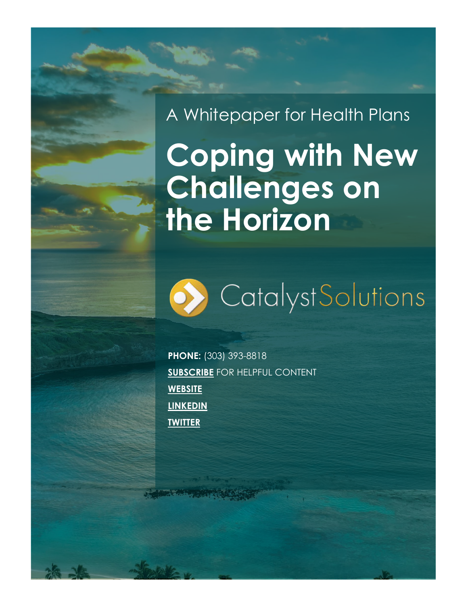# A Whitepaper for Health Plans

# **Coping with New Challenges on the Horizon**



**PHONE:** (303) 393-8818 **[SUBSCRIBE](https://catalystsolutions.com/contact/)** FOR HELPFUL CONTENT **[WEBSITE](http://www.catalystsolutions.com/) [LINKEDIN](http://www.linkedin.com/company/catalyst-solutions-llc) [TWITTER](https://twitter.com/CatalystSolutio)**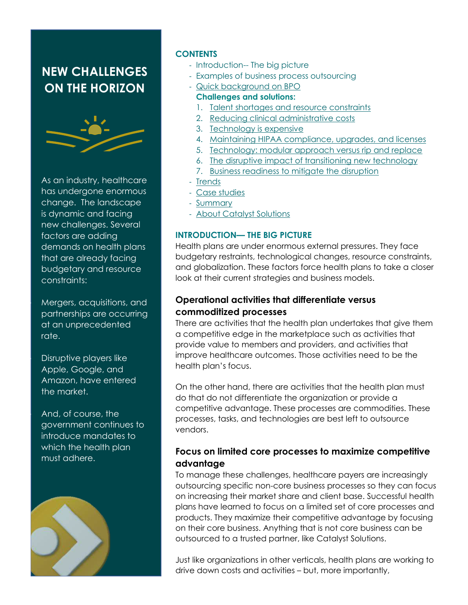## **NEW CHALLENGES ON THE HORIZON**



As an industry, healthcare has undergone enormous change. The landscape is dynamic and facing new challenges. Several factors are adding demands on health plans that are already facing budgetary and resource constraints:

• Mergers, acquisitions, and partnerships are occurring at an unprecedented rate.

• Disruptive players like Apple, Google, and Amazon, have entered the market.

• And, of course, the government continues to introduce mandates to which the health plan must adhere.



#### <span id="page-1-0"></span>**CONTENTS**

- Introduction-- The big picture
- Examples of business process outsourcing
- [Quick background on BPO](#page-2-0) **Challenges and solutions:**
	- 1. [Talent shortages and resource constraints](#page-2-1)
	- 2. [Reducing clinical administrative costs](#page-2-2)
	- 3. [Technology is expensive](#page-3-0)
	- 4. [Maintaining HIPAA compliance, upgrades,](#page-3-1) and licenses
	- 5. [Technology: modular approach versus rip and replace](#page-3-2)
	- 6. [The disruptive impact of transitioning new technology](#page-4-0)
	- 7. [Business readiness to mitigate the disruption](#page-4-1)
- [Trends](#page-3-3)
- [Case studies](#page-4-2)
- [Summary](#page-5-0)
- [About Catalyst Solutions](#page-5-1)

#### **INTRODUCTION— THE BIG PICTURE**

Health plans are under enormous external pressures. They face budgetary restraints, technological changes, resource constraints, and globalization. These factors force health plans to take a closer look at their current strategies and business models.

#### **Operational activities that differentiate versus commoditized processes**

There are activities that the health plan undertakes that give them a competitive edge in the marketplace such as activities that provide value to members and providers, and activities that improve healthcare outcomes. Those activities need to be the health plan's focus.

On the other hand, there are activities that the health plan must do that do not differentiate the organization or provide a competitive advantage. These processes are commodities. These processes, tasks, and technologies are best left to outsource vendors.

#### **Focus on limited core processes to maximize competitive advantage**

To manage these challenges, healthcare payers are increasingly outsourcing specific non-core business processes so they can focus on increasing their market share and client base. Successful health plans have learned to focus on a limited set of core processes and products. They maximize their competitive advantage by focusing on their core business. Anything that is not core business can be outsourced to a trusted partner, like Catalyst Solutions.

Just like organizations in other verticals, health plans are working to drive down costs and activities – but, more importantly,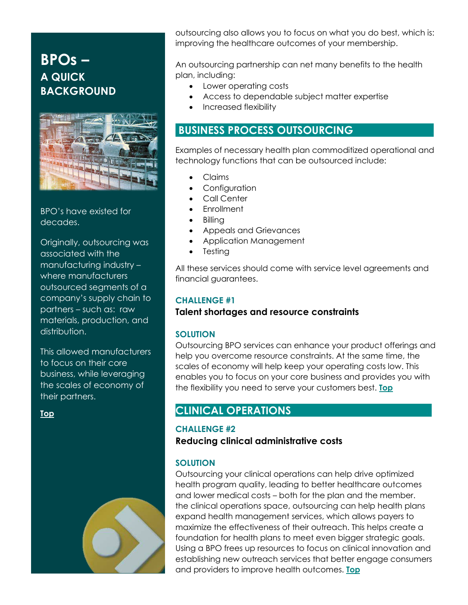# <span id="page-2-0"></span>**BPOs – A QUICK BACKGROUND**



BPO's have existed for decades.

Originally, outsourcing was associated with the manufacturing industry – where manufacturers outsourced segments of a company's supply chain to partners – such as: raw materials, production, and distribution.

This allowed manufacturers to focus on their core business, while leveraging the scales of economy of their partners.

**[Top](#page-1-0)** 



outsourcing also allows you to focus on what you do best, which is: improving the healthcare outcomes of your membership.

An outsourcing partnership can net many benefits to the health plan, including:

- Lower operating costs
- Access to dependable subject matter expertise
- Increased flexibility

## **BUSINESS PROCESS OUTSOURCING**

Examples of necessary health plan commoditized operational and technology functions that can be outsourced include:

- Claims
- Configuration
	- Call Center
- **Enrollment**
- Billing
- Appeals and Grievances
- Application Management
- **Testing**

All these services should come with service level agreements and financial guarantees.

#### <span id="page-2-1"></span>**CHALLENGE #1**

#### **Talent shortages and resource constraints**

#### **SOLUTION**

Outsourcing BPO services can enhance your product offerings and help you overcome resource constraints. At the same time, the scales of economy will help keep your operating costs low. This enables you to focus on your core business and provides you with the flexibility you need to serve your customers best. **[Top](#page-1-0)** 

## **CLINICAL OPERATIONS ..**

#### <span id="page-2-2"></span>**CHALLENGE #2**

**Reducing clinical administrative costs**

#### **SOLUTION**

Outsourcing your clinical operations can help drive optimized health program quality, leading to better healthcare outcomes and lower medical costs – both for the plan and the member. the clinical operations space, outsourcing can help health plans expand health management services, which allows payers to maximize the effectiveness of their outreach. This helps create a foundation for health plans to meet even bigger strategic goals. Using a BPO frees up resources to focus on clinical innovation and establishing new outreach services that better engage consumers and providers to improve health outcomes. **[Top](#page-1-0)**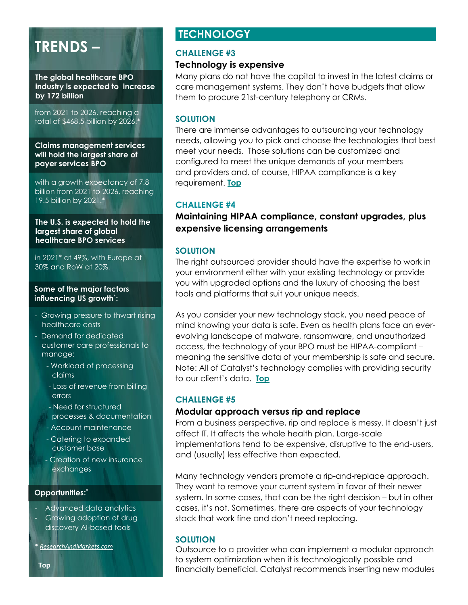# <span id="page-3-3"></span>**TRENDS –**

**The global healthcare BPO industry is expected to increase by 172 billion**

from 2021 to 2026, reaching a total of \$468.5 billion by 2026.\*

**Claims management services will hold the largest share of payer services BPO** 

with a growth expectancy of 7.8 billion from 2021 to 2026, reaching 19.5 billion by 2021.\*

**The U.S. is expected to hold the largest share of global healthcare BPO services** 

in 2021\* at 49%, with Europe at 30% and RoW at 20%.

#### **Some of the major factors influencing US growth**\* **:**

- Growing pressure to thwart rising healthcare costs
- Demand for dedicated customer care professionals to manage:
	- Workload of processing claims
	- Loss of revenue from billing errors
	- Need for structured processes & documentation
	- Account maintenance
	- Catering to expanded customer base
	- Creation of new insurance exchanges

#### **Opportunities:\***

- Advanced data analytics
- Growing adoption of drug discovery AI-based tools
- \* *[ResearchAndMarkets.com](https://www.researchandmarkets.com/reports/5387774/global-healthcare-bpo-market-by-outsourcing)*

## **TECHNOLOGY .**

#### <span id="page-3-0"></span>**CHALLENGE #3**

#### **Technology is expensive**

Many plans do not have the capital to invest in the latest claims or care management systems. They don't have budgets that allow them to procure 21st-century telephony or CRMs.

#### **SOLUTION**

There are immense advantages to outsourcing your technology needs, allowing you to pick and choose the technologies that best meet your needs. Those solutions can be customized and configured to meet the unique demands of your members and providers and, of course, HIPAA compliance is a key requirement. **[Top](#page-1-0)**

#### <span id="page-3-1"></span>**CHALLENGE #4**

**Maintaining HIPAA compliance, constant upgrades, plus expensive licensing arrangements**

#### **SOLUTION**

The right outsourced provider should have the expertise to work in your environment either with your existing technology or provide you with upgraded options and the luxury of choosing the best tools and platforms that suit your unique needs.

As you consider your new technology stack, you need peace of mind knowing your data is safe. Even as health plans face an everevolving landscape of malware, ransomware, and unauthorized access, the technology of your BPO must be HIPAA-compliant – meaning the sensitive data of your membership is safe and secure. Note: All of Catalyst's technology complies with providing security to our client's data. **[Top](#page-1-0)** 

#### <span id="page-3-2"></span>**CHALLENGE #5**

#### **Modular approach versus rip and replace**

From a business perspective, rip and replace is messy. It doesn't just affect IT. It affects the whole health plan. Large-scale implementations tend to be expensive, disruptive to the end-users, and (usually) less effective than expected.

Many technology vendors promote a rip-and-replace approach. They want to remove your current system in favor of their newer system. In some cases, that can be the right decision – but in other cases, it's not. Sometimes, there are aspects of your technology stack that work fine and don't need replacing.

#### **SOLUTION**

Outsource to a provider who can implement a modular approach to system optimization when it is technologically possible and financially beneficial. Catalyst recommends inserting new modules

**[Top](#page-1-0)**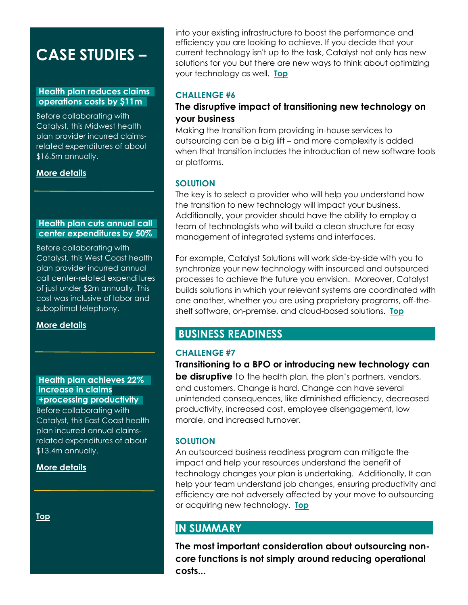# <span id="page-4-2"></span>**CASE STUDIES –**

#### **Health plan reduces claims . operations costs by \$11m .**

Before collaborating with Catalyst, this Midwest health plan provider incurred claimsrelated expenditures of about \$16.5m annually.

#### **[More details](https://catalystsolutions.com/resources/case-study-health-plan-reduces-claims-operations-costs-by-11-million/)**

#### **Health plan cuts annual call . center expenditures by 50% .**

Before collaborating with Catalyst, this West Coast health plan provider incurred annual call center-related expenditures of just under \$2m annually. This cost was inclusive of labor and suboptimal telephony.

**[More details](https://catalystsolutions.com/resources/case-study-health-plan-cuts-annual-call-center-expenditures-by-50/)** 

#### **Health plan achieves 22% . increase in claims +processing productivity .** Before collaborating with

Catalyst, this East Coast health plan incurred annual claimsrelated expenditures of about \$13.4m annually.

#### **[More details](https://catalystsolutions.com/resources/health-plan-achieves-22-percent-increase-in-claims-processing-productivity/)**

**[Top](#page-1-0)** 

into your existing infrastructure to boost the performance and efficiency you are looking to achieve. If you decide that your current technology isn't up to the task, Catalyst not only has new solutions for you but there are new ways to think about optimizing your technology as well. **[Top](#page-1-0)** 

#### <span id="page-4-0"></span>**CHALLENGE #6**

#### **The disruptive impact of transitioning new technology on your business**

Making the transition from providing in-house services to outsourcing can be a big lift – and more complexity is added when that transition includes the introduction of new software tools or platforms.

#### **SOLUTION**

The key is to select a provider who will help you understand how the transition to new technology will impact your business. Additionally, your provider should have the ability to employ a team of technologists who will build a clean structure for easy management of integrated systems and interfaces.

For example, Catalyst Solutions will work side-by-side with you to synchronize your new technology with insourced and outsourced processes to achieve the future you envision. Moreover, Catalyst builds solutions in which your relevant systems are coordinated with one another, whether you are using proprietary programs, off-theshelf software, on-premise, and cloud-based solutions. **[Top](#page-1-0)** 

## **BUSINESS READINESS .**

#### <span id="page-4-1"></span>**CHALLENGE #7**

**Transitioning to a BPO or introducing new technology can be disruptive** to the health plan, the plan's partners, vendors, and customers. Change is hard. Change can have several unintended consequences, like diminished efficiency, decreased productivity, increased cost, employee disengagement, low morale, and increased turnover.

#### **SOLUTION**

An outsourced business readiness program can mitigate the impact and help your resources understand the benefit of technology changes your plan is undertaking. Additionally, It can help your team understand job changes, ensuring productivity and efficiency are not adversely affected by your move to outsourcing or acquiring new technology. **[Top](#page-1-0)** 

### **IN SUMMARY .**

**The most important consideration about outsourcing noncore functions is not simply around reducing operational costs...**